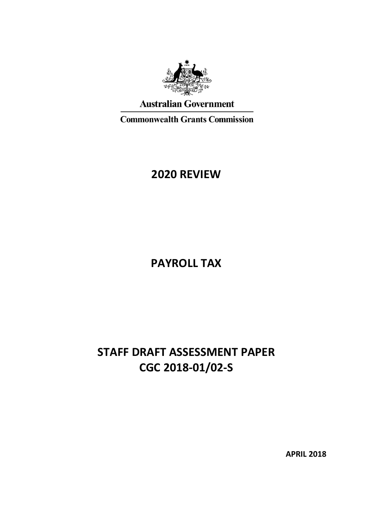

## **Australian Government**

**Commonwealth Grants Commission** 

## **2020 REVIEW**

**PAYROLL TAX**

# **STAFF DRAFT ASSESSMENT PAPER CGC 2018-01/02-S**

**APRIL 2018**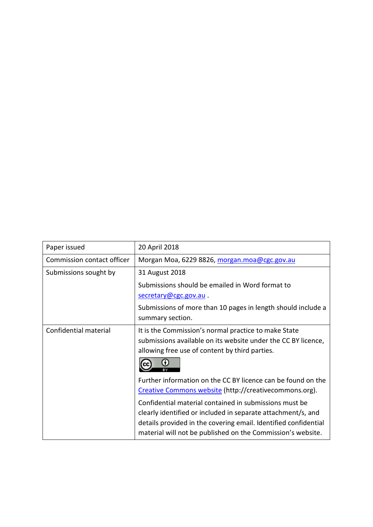| Paper issued               | 20 April 2018                                                   |
|----------------------------|-----------------------------------------------------------------|
| Commission contact officer | Morgan Moa, 6229 8826, morgan.moa@cgc.gov.au                    |
| Submissions sought by      | 31 August 2018                                                  |
|                            | Submissions should be emailed in Word format to                 |
|                            | secretary@cgc.gov.au.                                           |
|                            | Submissions of more than 10 pages in length should include a    |
|                            | summary section.                                                |
| Confidential material      | It is the Commission's normal practice to make State            |
|                            | submissions available on its website under the CC BY licence,   |
|                            | allowing free use of content by third parties.                  |
|                            |                                                                 |
|                            | Further information on the CC BY licence can be found on the    |
|                            | Creative Commons website (http://creativecommons.org).          |
|                            | Confidential material contained in submissions must be          |
|                            | clearly identified or included in separate attachment/s, and    |
|                            | details provided in the covering email. Identified confidential |
|                            | material will not be published on the Commission's website.     |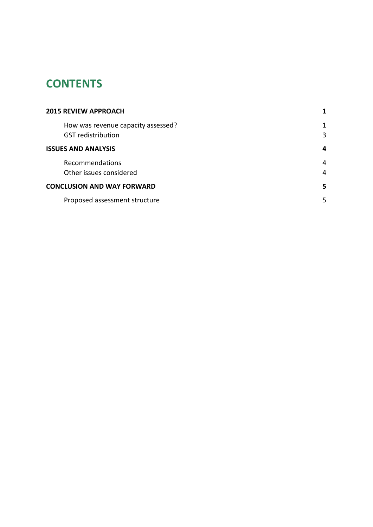## **CONTENTS**

| <b>2015 REVIEW APPROACH</b>                                     |        |
|-----------------------------------------------------------------|--------|
| How was revenue capacity assessed?<br><b>GST</b> redistribution | 1<br>3 |
| <b>ISSUES AND ANALYSIS</b>                                      | 4      |
| Recommendations<br>Other issues considered                      | 4<br>4 |
| <b>CONCLUSION AND WAY FORWARD</b>                               | 5      |
| Proposed assessment structure                                   | 5      |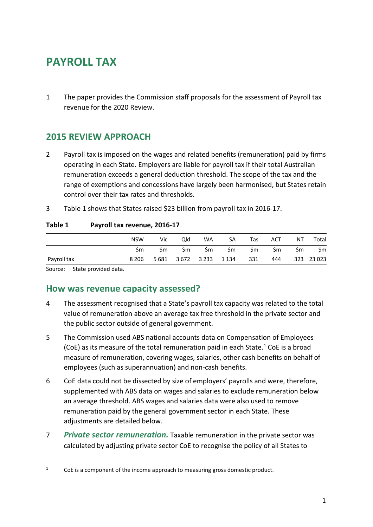# **PAYROLL TAX**

1 The paper provides the Commission staff proposals for the assessment of Payroll tax revenue for the 2020 Review.

## <span id="page-3-0"></span>**2015 REVIEW APPROACH**

- 2 Payroll tax is imposed on the wages and related benefits (remuneration) paid by firms operating in each State. Employers are liable for payroll tax if their total Australian remuneration exceeds a general deduction threshold. The scope of the tax and the range of exemptions and concessions have largely been harmonised, but States retain control over their tax rates and thresholds.
- 3 [Table 1](#page-3-2) shows that States raised \$23 billion from payroll tax in 2016-17.

#### <span id="page-3-2"></span>**Table 1 Payroll tax revenue, 2016-17**

|             | <b>NSW</b> | Vic | Qld | WA. | <b>SA</b>                   | Tas  | ACT  | NT | Total      |
|-------------|------------|-----|-----|-----|-----------------------------|------|------|----|------------|
|             | Sm.        | Sm  | Sm  | Sm  | Sm                          | Sm l | Sm – | Sm | \$m        |
| Payroll tax | 8 2 0 6    |     |     |     | 5 681 3 672 3 233 1 134 331 |      | 444  |    | 323 23 023 |

<span id="page-3-1"></span>Source: State provided data.

 $\overline{a}$ 

## **How was revenue capacity assessed?**

- 4 The assessment recognised that a State's payroll tax capacity was related to the total value of remuneration above an average tax free threshold in the private sector and the public sector outside of general government.
- 5 The Commission used ABS national accounts data on Compensation of Employees (CoE) as its measure of the total remuneration paid in each State.<sup>[1](#page-3-3)</sup> CoE is a broad measure of remuneration, covering wages, salaries, other cash benefits on behalf of employees (such as superannuation) and non-cash benefits.
- 6 CoE data could not be dissected by size of employers' payrolls and were, therefore, supplemented with ABS data on wages and salaries to exclude remuneration below an average threshold. ABS wages and salaries data were also used to remove remuneration paid by the general government sector in each State. These adjustments are detailed below.
- 7 *Private sector remuneration.* Taxable remuneration in the private sector was calculated by adjusting private sector CoE to recognise the policy of all States to

<span id="page-3-3"></span> $1 -$  CoE is a component of the income approach to measuring gross domestic product.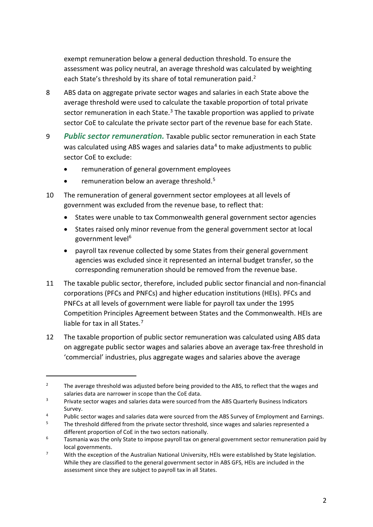exempt remuneration below a general deduction threshold. To ensure the assessment was policy neutral, an average threshold was calculated by weighting each State's threshold by its share of total remuneration paid.<sup>[2](#page-4-0)</sup>

- 8 ABS data on aggregate private sector wages and salaries in each State above the average threshold were used to calculate the taxable proportion of total private sector remuneration in each State. $3$  The taxable proportion was applied to private sector CoE to calculate the private sector part of the revenue base for each State.
- 9 *Public sector remuneration.* Taxable public sector remuneration in each State was calculated using ABS wages and salaries data<sup>[4](#page-4-2)</sup> to make adjustments to public sector CoE to exclude:
	- remuneration of general government employees
	- remuneration below an average threshold.<sup>[5](#page-4-3)</sup>

 $\overline{a}$ 

- 10 The remuneration of general government sector employees at all levels of government was excluded from the revenue base, to reflect that:
	- States were unable to tax Commonwealth general government sector agencies
	- States raised only minor revenue from the general government sector at local government level<sup>[6](#page-4-4)</sup>
	- payroll tax revenue collected by some States from their general government agencies was excluded since it represented an internal budget transfer, so the corresponding remuneration should be removed from the revenue base.
- 11 The taxable public sector, therefore, included public sector financial and non-financial corporations (PFCs and PNFCs) and higher education institutions (HEIs). PFCs and PNFCs at all levels of government were liable for payroll tax under the 1995 Competition Principles Agreement between States and the Commonwealth. HEIs are liable for tax in all States.<sup>[7](#page-4-5)</sup>
- 12 The taxable proportion of public sector remuneration was calculated using ABS data on aggregate public sector wages and salaries above an average tax-free threshold in 'commercial' industries, plus aggregate wages and salaries above the average

<span id="page-4-0"></span><sup>&</sup>lt;sup>2</sup> The average threshold was adjusted before being provided to the ABS, to reflect that the wages and salaries data are narrower in scope than the CoE data.

<span id="page-4-1"></span><sup>&</sup>lt;sup>3</sup> Private sector wages and salaries data were sourced from the ABS Quarterly Business Indicators Survey.

<span id="page-4-3"></span><span id="page-4-2"></span><sup>&</sup>lt;sup>4</sup> Public sector wages and salaries data were sourced from the ABS Survey of Employment and Earnings.

<sup>5</sup> The threshold differed from the private sector threshold, since wages and salaries represented a different proportion of CoE in the two sectors nationally.

<span id="page-4-4"></span> $6$  Tasmania was the only State to impose payroll tax on general government sector remuneration paid by local governments.

<span id="page-4-5"></span> $7$  With the exception of the Australian National University, HEIs were established by State legislation. While they are classified to the general government sector in ABS GFS, HEIs are included in the assessment since they are subject to payroll tax in all States.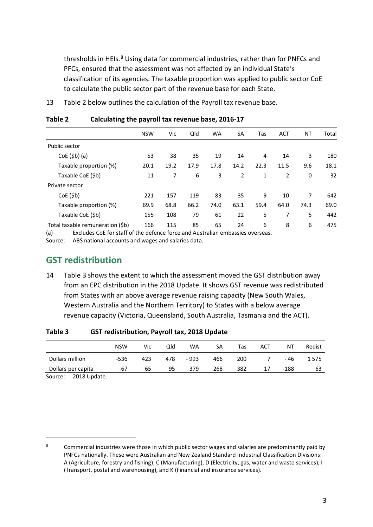thresholds in HEIs.<sup>[8](#page-5-3)</sup> Using data for commercial industries, rather than for PNFCs and PFCs, ensured that the assessment was not affected by an individual State's classification of its agencies. The taxable proportion was applied to public sector CoE to calculate the public sector part of the revenue base for each State.

13 [Table 2](#page-5-1) below outlines the calculation of the Payroll tax revenue base.

|                                  | <b>NSW</b> | Vic  | Qld  | <b>WA</b> | <b>SA</b> | Tas  | <b>ACT</b>     | <b>NT</b> | Total |
|----------------------------------|------------|------|------|-----------|-----------|------|----------------|-----------|-------|
| Public sector                    |            |      |      |           |           |      |                |           |       |
| $CoE(Sb)$ (a)                    | 53         | 38   | 35   | 19        | 14        | 4    | 14             | 3         | 180   |
| Taxable proportion (%)           | 20.1       | 19.2 | 17.9 | 17.8      | 14.2      | 22.3 | 11.5           | 9.6       | 18.1  |
| Taxable CoE (\$b)                | 11         | 7    | 6    | 3         | 2         | 1    | $\overline{2}$ | 0         | 32    |
| Private sector                   |            |      |      |           |           |      |                |           |       |
| CoE(Sb)                          | 221        | 157  | 119  | 83        | 35        | 9    | 10             | 7         | 642   |
| Taxable proportion (%)           | 69.9       | 68.8 | 66.2 | 74.0      | 63.1      | 59.4 | 64.0           | 74.3      | 69.0  |
| Taxable CoE (\$b)                | 155        | 108  | 79   | 61        | 22        | 5    | 7              | 5         | 442   |
| Total taxable remuneration (\$b) | 166        | 115  | 85   | 65        | 24        | 6    | 8              | 6         | 475   |

#### <span id="page-5-1"></span>**Table 2 Calculating the payroll tax revenue base, 2016-17**

(a) Excludes CoE for staff of the defence force and Australian embassies overseas.

<span id="page-5-0"></span>Source: ABS national accounts and wages and salaries data.

## **GST redistribution**

14 [Table 3](#page-5-2) shows the extent to which the assessment moved the GST distribution away from an EPC distribution in the 2018 Update. It shows GST revenue was redistributed from States with an above average revenue raising capacity (New South Wales, Western Australia and the Northern Territory) to States with a below average revenue capacity (Victoria, Queensland, South Australia, Tasmania and the ACT).

|                    | <b>NSW</b> | Vic | Old | WA     | SA  | Tas | ACT | ΝT   | Redist |
|--------------------|------------|-----|-----|--------|-----|-----|-----|------|--------|
| Dollars million    | -536       | 423 | 478 | - 993  | 466 | 200 |     | - 46 | 1575   |
| Dollars per capita | -67        | 65  | 95  | $-379$ | 268 | 382 | 17  | -188 | 63     |

<span id="page-5-2"></span>**Table 3 GST redistribution, Payroll tax, 2018 Update**

Source: 2018 Update.

 $\overline{a}$ 

<span id="page-5-3"></span><sup>&</sup>lt;sup>8</sup> Commercial industries were those in which public sector wages and salaries are predominantly paid by PNFCs nationally. These were Australian and New Zealand Standard Industrial Classification Divisions: A (Agriculture, forestry and fishing), C (Manufacturing), D (Electricity, gas, water and waste services), I (Transport, postal and warehousing), and K (Financial and insurance services).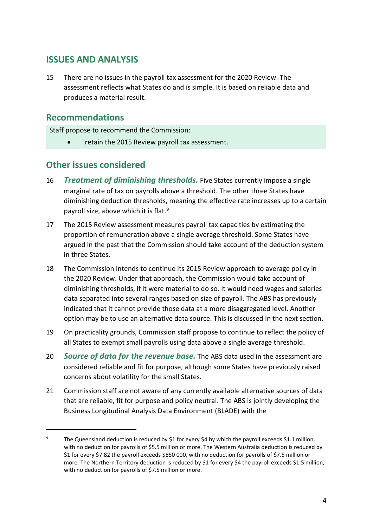## <span id="page-6-0"></span>**ISSUES AND ANALYSIS**

15 There are no issues in the payroll tax assessment for the 2020 Review. The assessment reflects what States do and is simple. It is based on reliable data and produces a material result.

## <span id="page-6-1"></span>**Recommendations**

 $\overline{a}$ 

Staff propose to recommend the Commission:

• retain the 2015 Review payroll tax assessment.

## <span id="page-6-2"></span>**Other issues considered**

- 16 *Treatment of diminishing thresholds.* Five States currently impose a single marginal rate of tax on payrolls above a threshold. The other three States have diminishing deduction thresholds, meaning the effective rate increases up to a certain payroll size, above which it is flat.<sup>[9](#page-6-3)</sup>
- 17 The 2015 Review assessment measures payroll tax capacities by estimating the proportion of remuneration above a single average threshold. Some States have argued in the past that the Commission should take account of the deduction system in three States.
- 18 The Commission intends to continue its 2015 Review approach to average policy in the 2020 Review. Under that approach, the Commission would take account of diminishing thresholds, if it were material to do so. It would need wages and salaries data separated into several ranges based on size of payroll. The ABS has previously indicated that it cannot provide those data at a more disaggregated level. Another option may be to use an alternative data source. This is discussed in the next section.
- 19 On practicality grounds, Commission staff propose to continue to reflect the policy of all States to exempt small payrolls using data above a single average threshold.
- 20 *Source of data for the revenue base.* The ABS data used in the assessment are considered reliable and fit for purpose, although some States have previously raised concerns about volatility for the small States.
- 21 Commission staff are not aware of any currently available alternative sources of data that are reliable, fit for purpose and policy neutral. The ABS is jointly developing the Business Longitudinal Analysis Data Environment (BLADE) with the

<span id="page-6-3"></span><sup>&</sup>lt;sup>9</sup> The Queensland deduction is reduced by \$1 for every \$4 by which the payroll exceeds \$1.1 million, with no deduction for payrolls of \$5.5 million or more. The Western Australia deduction is reduced by \$1 for every \$7.82 the payroll exceeds \$850 000, with no deduction for payrolls of \$7.5 million or more. The Northern Territory deduction is reduced by \$1 for every \$4 the payroll exceeds \$1.5 million, with no deduction for payrolls of \$7.5 million or more.